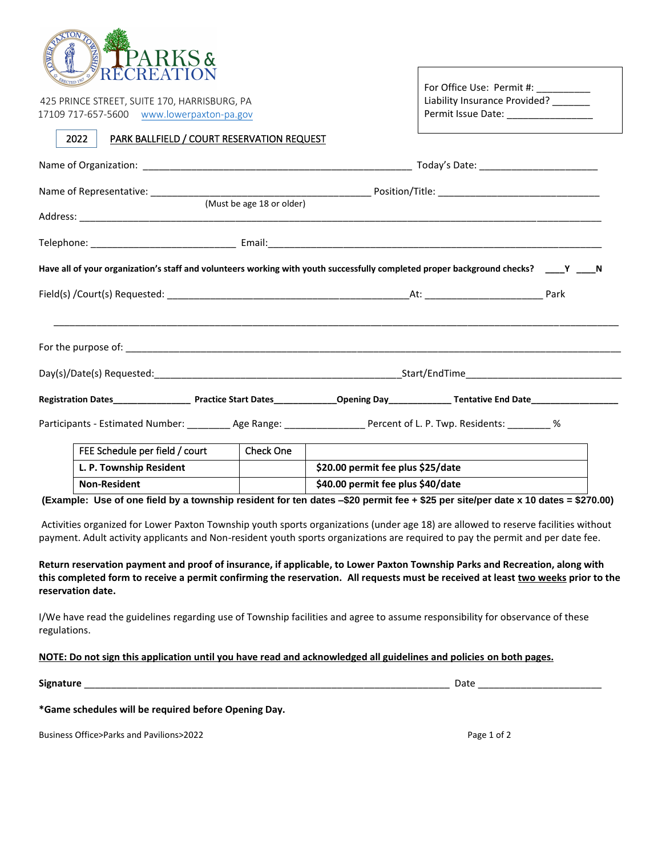

| <b>NERECTED TO A LITTLE A LITTLE I LOTT</b><br>425 PRINCE STREET, SUITE 170, HARRISBURG, PA<br>17109 717-657-5600 www.lowerpaxton-pa.gov | For Office Use: Permit #: _________<br>Liability Insurance Provided? ______<br>Permit Issue Date: _____________________                 |  |  |
|------------------------------------------------------------------------------------------------------------------------------------------|-----------------------------------------------------------------------------------------------------------------------------------------|--|--|
| 2022<br>PARK BALLFIELD / COURT RESERVATION REQUEST                                                                                       |                                                                                                                                         |  |  |
|                                                                                                                                          |                                                                                                                                         |  |  |
| (Must be age 18 or older)                                                                                                                |                                                                                                                                         |  |  |
|                                                                                                                                          |                                                                                                                                         |  |  |
|                                                                                                                                          | Have all of your organization's staff and volunteers working with youth successfully completed proper background checks? _____Y _____ N |  |  |
|                                                                                                                                          |                                                                                                                                         |  |  |
|                                                                                                                                          |                                                                                                                                         |  |  |
|                                                                                                                                          |                                                                                                                                         |  |  |
|                                                                                                                                          | Registration Dates______________________Practice Start Dates_______________Opening Day______________Tentative End Date_________________ |  |  |
| Participants - Estimated Number: __________ Age Range: __________________ Percent of L. P. Twp. Residents: _________ %                   |                                                                                                                                         |  |  |

| FEE Schedule per field / court | <b>Check One</b> |                                   |
|--------------------------------|------------------|-----------------------------------|
| L. P. Township Resident        |                  | \$20.00 permit fee plus \$25/date |
| <b>Non-Resident</b>            |                  | \$40.00 permit fee plus \$40/date |

**(Example: Use of one field by a township resident for ten dates –\$20 permit fee + \$25 per site/per date x 10 dates = \$270.00)**

Activities organized for Lower Paxton Township youth sports organizations (under age 18) are allowed to reserve facilities without payment. Adult activity applicants and Non-resident youth sports organizations are required to pay the permit and per date fee.

**Return reservation payment and proof of insurance, if applicable, to Lower Paxton Township Parks and Recreation, along with this completed form to receive a permit confirming the reservation. All requests must be received at least two weeks prior to the reservation date.**

I/We have read the guidelines regarding use of Township facilities and agree to assume responsibility for observance of these regulations.

## **NOTE: Do not sign this application until you have read and acknowledged all guidelines and policies on both pages.**

**Signature** \_\_\_\_\_\_\_\_\_\_\_\_\_\_\_\_\_\_\_\_\_\_\_\_\_\_\_\_\_\_\_\_\_\_\_\_\_\_\_\_\_\_\_\_\_\_\_\_\_\_\_\_\_\_\_\_\_\_\_\_\_\_\_\_\_\_\_\_ Date \_\_\_\_\_\_\_\_\_\_\_\_\_\_\_\_\_\_\_\_\_\_\_

**\*Game schedules will be required before Opening Day.**

Business Office>Parks and Pavilions>2022 **Page 1 of 2** and 2012 **Page 1 of 2** and 2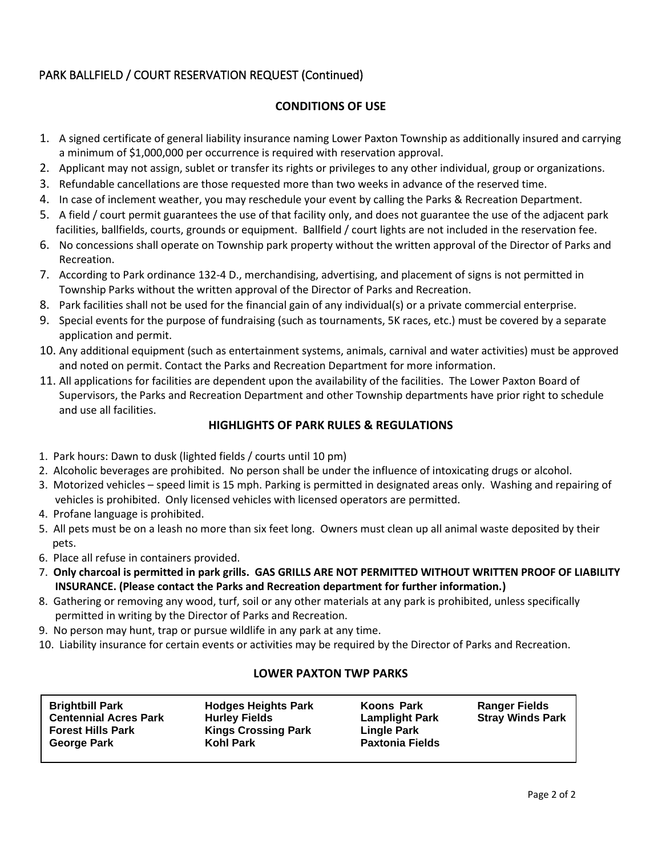# PARK BALLFIELD / COURT RESERVATION REQUEST (Continued)

# **CONDITIONS OF USE**

- 1. A signed certificate of general liability insurance naming Lower Paxton Township as additionally insured and carrying a minimum of \$1,000,000 per occurrence is required with reservation approval.
- 2. Applicant may not assign, sublet or transfer its rights or privileges to any other individual, group or organizations.
- 3. Refundable cancellations are those requested more than two weeks in advance of the reserved time.
- 4. In case of inclement weather, you may reschedule your event by calling the Parks & Recreation Department.
- 5. A field / court permit guarantees the use of that facility only, and does not guarantee the use of the adjacent park facilities, ballfields, courts, grounds or equipment. Ballfield / court lights are not included in the reservation fee.
- 6. No concessions shall operate on Township park property without the written approval of the Director of Parks and Recreation.
- 7. According to Park ordinance 132-4 D., merchandising, advertising, and placement of signs is not permitted in Township Parks without the written approval of the Director of Parks and Recreation.
- 8. Park facilities shall not be used for the financial gain of any individual(s) or a private commercial enterprise.
- 9. Special events for the purpose of fundraising (such as tournaments, 5K races, etc.) must be covered by a separate application and permit.
- 10. Any additional equipment (such as entertainment systems, animals, carnival and water activities) must be approved and noted on permit. Contact the Parks and Recreation Department for more information.
- 11. All applications for facilities are dependent upon the availability of the facilities. The Lower Paxton Board of Supervisors, the Parks and Recreation Department and other Township departments have prior right to schedule and use all facilities.

#### **HIGHLIGHTS OF PARK RULES & REGULATIONS**

- 1. Park hours: Dawn to dusk (lighted fields / courts until 10 pm)
- 2. Alcoholic beverages are prohibited. No person shall be under the influence of intoxicating drugs or alcohol.
- 3. Motorized vehicles speed limit is 15 mph. Parking is permitted in designated areas only. Washing and repairing of vehicles is prohibited. Only licensed vehicles with licensed operators are permitted.
- 4. Profane language is prohibited.

 $\overline{a}$ 

- 5. All pets must be on a leash no more than six feet long. Owners must clean up all animal waste deposited by their pets.
- 6. Place all refuse in containers provided.
- 7. **Only charcoal is permitted in park grills. GAS GRILLS ARE NOT PERMITTED WITHOUT WRITTEN PROOF OF LIABILITY INSURANCE. (Please contact the Parks and Recreation department for further information.)**
- 8. Gathering or removing any wood, turf, soil or any other materials at any park is prohibited, unless specifically permitted in writing by the Director of Parks and Recreation.
- 9. No person may hunt, trap or pursue wildlife in any park at any time.
- 10. Liability insurance for certain events or activities may be required by the Director of Parks and Recreation.

## **LOWER PAXTON TWP PARKS**

| <b>Hodges Heights Park</b><br><b>Brightbill Park</b><br><b>Centennial Acres Park</b><br><b>Hurley Fields</b><br><b>Forest Hills Park</b><br><b>Kings Crossing Park</b><br><b>George Park</b><br><b>Kohl Park</b> | <b>Koons Park</b><br><b>Lamplight Park</b><br><b>Lingle Park</b><br><b>Paxtonia Fields</b> | <b>Ranger Fields</b><br><b>Stray Winds Park</b> |
|------------------------------------------------------------------------------------------------------------------------------------------------------------------------------------------------------------------|--------------------------------------------------------------------------------------------|-------------------------------------------------|
|------------------------------------------------------------------------------------------------------------------------------------------------------------------------------------------------------------------|--------------------------------------------------------------------------------------------|-------------------------------------------------|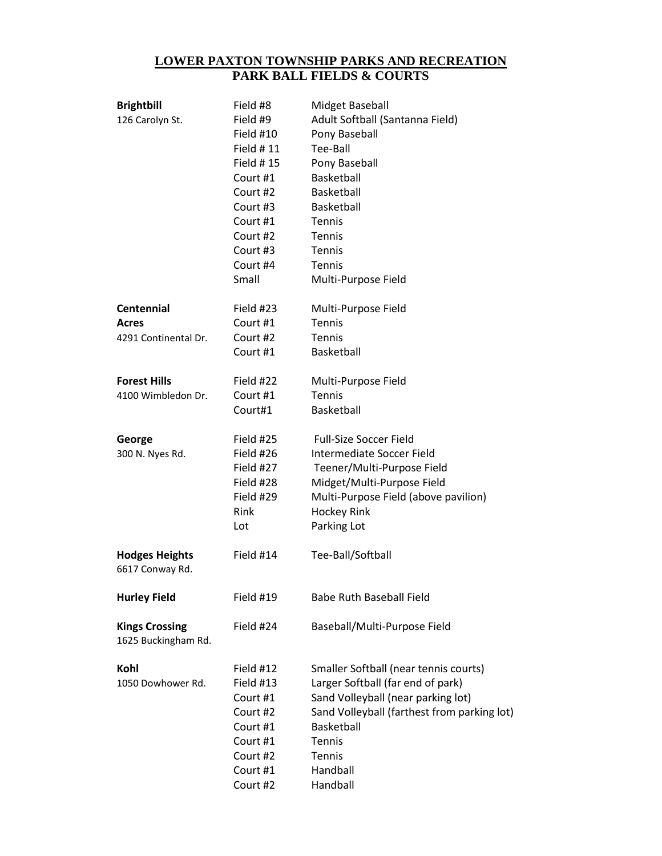#### **LOWER PAXTON TOWNSHIP PARKS AND RECREATION PARK BALL FIELDS & COURTS**

| <b>Brightbill</b><br>126 Carolyn St.         | Field #8<br>Field #9<br>Field #10<br>Field # 11<br><b>Field #15</b><br>Court #1<br>Court #2<br>Court #3<br>Court #1<br>Court #2<br>Court #3<br>Court #4<br>Small | Midget Baseball<br>Adult Softball (Santanna Field)<br>Pony Baseball<br>Tee-Ball<br>Pony Baseball<br><b>Basketball</b><br>Basketball<br>Basketball<br>Tennis<br>Tennis<br>Tennis<br>Tennis<br>Multi-Purpose Field          |
|----------------------------------------------|------------------------------------------------------------------------------------------------------------------------------------------------------------------|---------------------------------------------------------------------------------------------------------------------------------------------------------------------------------------------------------------------------|
| <b>Centennial</b>                            | Field #23                                                                                                                                                        | Multi-Purpose Field                                                                                                                                                                                                       |
| Acres                                        | Court #1                                                                                                                                                         | <b>Tennis</b>                                                                                                                                                                                                             |
| 4291 Continental Dr.                         | Court #2                                                                                                                                                         | Tennis                                                                                                                                                                                                                    |
|                                              | Court #1                                                                                                                                                         | Basketball                                                                                                                                                                                                                |
| <b>Forest Hills</b>                          | Field #22                                                                                                                                                        | Multi-Purpose Field                                                                                                                                                                                                       |
| 4100 Wimbledon Dr.                           | Court #1                                                                                                                                                         | Tennis                                                                                                                                                                                                                    |
|                                              | Court#1                                                                                                                                                          | <b>Basketball</b>                                                                                                                                                                                                         |
| George<br>300 N. Nyes Rd.                    | Field #25<br>Field #26<br>Field #27<br>Field #28<br>Field #29<br>Rink<br>Lot                                                                                     | <b>Full-Size Soccer Field</b><br>Intermediate Soccer Field<br>Teener/Multi-Purpose Field<br>Midget/Multi-Purpose Field<br>Multi-Purpose Field (above pavilion)<br><b>Hockey Rink</b><br>Parking Lot                       |
| <b>Hodges Heights</b><br>6617 Conway Rd.     | Field #14                                                                                                                                                        | Tee-Ball/Softball                                                                                                                                                                                                         |
| <b>Hurley Field</b>                          | Field #19                                                                                                                                                        | <b>Babe Ruth Baseball Field</b>                                                                                                                                                                                           |
| <b>Kings Crossing</b><br>1625 Buckingham Rd. | Field #24                                                                                                                                                        | Baseball/Multi-Purpose Field                                                                                                                                                                                              |
| Kohl<br>1050 Dowhower Rd.                    | Field #12<br>Field #13<br>Court #1<br>Court #2<br>Court #1<br>Court #1<br>Court #2<br>Court #1<br>Court #2                                                       | Smaller Softball (near tennis courts)<br>Larger Softball (far end of park)<br>Sand Volleyball (near parking lot)<br>Sand Volleyball (farthest from parking lot)<br>Basketball<br>Tennis<br>Tennis<br>Handball<br>Handball |